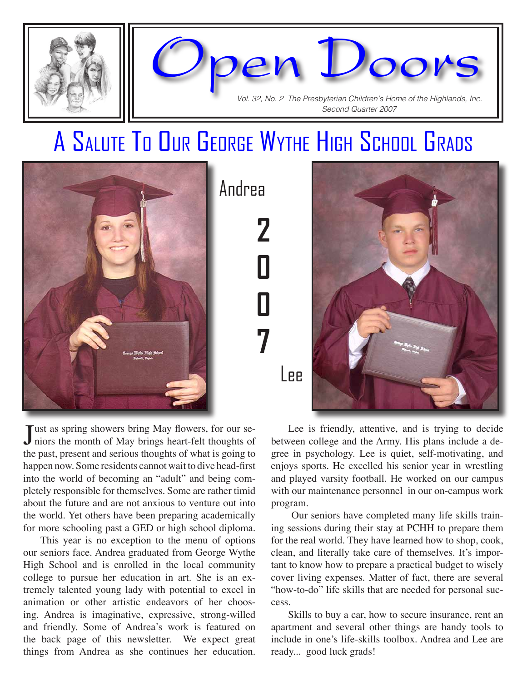

#### A Salute To Our George Wythe High School Grads



Lee



Just as spring showers bring May flowers, for our se-<br>niors the month of May brings heart-felt thoughts of niors the month of May brings heart-felt thoughts of the past, present and serious thoughts of what is going to happen now. Some residents cannot wait to dive head-first into the world of becoming an "adult" and being completely responsible for themselves. Some are rather timid about the future and are not anxious to venture out into the world. Yet others have been preparing academically for more schooling past a GED or high school diploma.

This year is no exception to the menu of options our seniors face. Andrea graduated from George Wythe High School and is enrolled in the local community college to pursue her education in art. She is an extremely talented young lady with potential to excel in animation or other artistic endeavors of her choosing. Andrea is imaginative, expressive, strong-willed and friendly. Some of Andrea's work is featured on the back page of this newsletter. We expect great things from Andrea as she continues her education.

Lee is friendly, attentive, and is trying to decide between college and the Army. His plans include a degree in psychology. Lee is quiet, self-motivating, and enjoys sports. He excelled his senior year in wrestling and played varsity football. He worked on our campus with our maintenance personnel in our on-campus work program.

 Our seniors have completed many life skills training sessions during their stay at PCHH to prepare them for the real world. They have learned how to shop, cook, clean, and literally take care of themselves. It's important to know how to prepare a practical budget to wisely cover living expenses. Matter of fact, there are several "how-to-do" life skills that are needed for personal success.

Skills to buy a car, how to secure insurance, rent an apartment and several other things are handy tools to include in one's life-skills toolbox. Andrea and Lee are ready... good luck grads!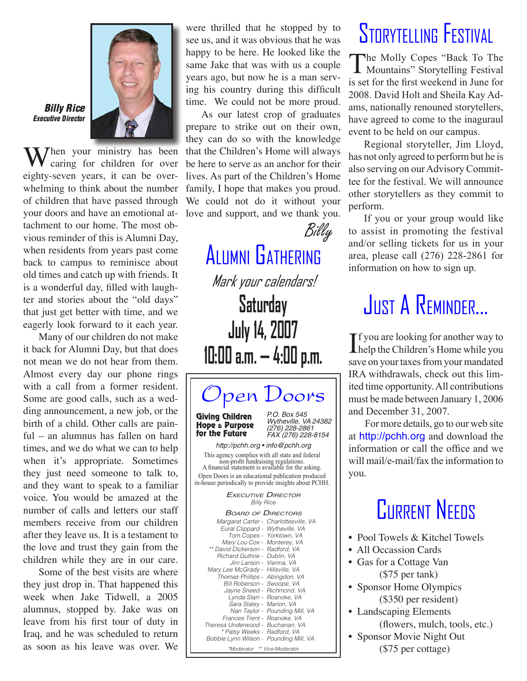

#### Billy Rice Executive Director

**X** *Then* your ministry has been caring for children for over eighty-seven years, it can be overwhelming to think about the number of children that have passed through your doors and have an emotional attachment to our home. The most obvious reminder of this is Alumni Day, when residents from years past come back to campus to reminisce about old times and catch up with friends. It is a wonderful day, filled with laughter and stories about the "old days" that just get better with time, and we eagerly look forward to it each year.

Many of our children do not make it back for Alumni Day, but that does not mean we do not hear from them. Almost every day our phone rings with a call from a former resident. Some are good calls, such as a wedding announcement, a new job, or the birth of a child. Other calls are painful – an alumnus has fallen on hard times, and we do what we can to help when it's appropriate. Sometimes they just need someone to talk to, and they want to speak to a familiar voice. You would be amazed at the number of calls and letters our staff members receive from our children after they leave us. It is a testament to the love and trust they gain from the children while they are in our care.

Some of the best visits are where they just drop in. That happened this week when Jake Tidwell, a 2005 alumnus, stopped by. Jake was on leave from his first tour of duty in Iraq, and he was scheduled to return as soon as his leave was over. We

were thrilled that he stopped by to see us, and it was obvious that he was happy to be here. He looked like the same Jake that was with us a couple years ago, but now he is a man serving his country during this difficult time. We could not be more proud.

As our latest crop of graduates prepare to strike out on their own, they can do so with the knowledge that the Children's Home will always be here to serve as an anchor for their lives. As part of the Children's Home family, I hope that makes you proud. We could not do it without your love and support, and we thank you.



Alumni Gathering Mark your calendars!

**Saturday July 14, 2007 10:00 a.m. — 4:00 p.m.**



### Storytelling Festival

The Molly Copes "Back To The **L** Mountains" Storytelling Festival is set for the first weekend in June for 2008. David Holt and Sheila Kay Adams, nationally renouned storytellers, have agreed to come to the inaguraul event to be held on our campus.

Regional storyteller, Jim Lloyd, has not only agreed to perform but he is also serving on our Advisory Committee for the festival. We will announce other storytellers as they commit to perform.

If you or your group would like to assist in promoting the festival and/or selling tickets for us in your area, please call (276) 228-2861 for information on how to sign up.

## JUST A REMINDER...

If you are looking for another way to<br>help the Children's Home while you  $\mathbf{T}$  f you are looking for another way to save on your taxes from your mandated IRA withdrawals, check out this limited time opportunity. All contributions must be made between January 1, 2006 and December 31, 2007.

For more details, go to our web site at http://pchh.org and download the information or call the office and we will mail/e-mail/fax the information to you.

#### **CURRENT NEEDS**

- Pool Towels & Kitchel Towels
- All Occassion Cards
- Gas for a Cottage Van (\$75 per tank)
- Sponsor Home Olympics (\$350 per resident)
- Landscaping Elements (flowers, mulch, tools, etc.)
- Sponsor Movie Night Out (\$75 per cottage)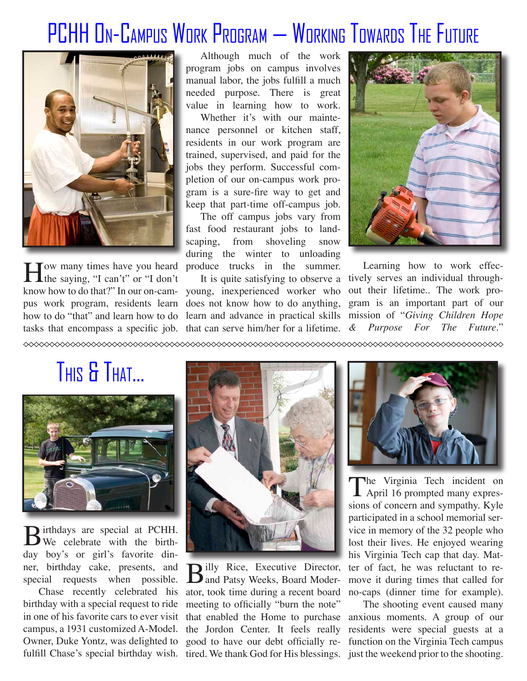#### PCHH On-Campus Work Program — Working Towards The Future



How many times have you heard produce trucks in the summer.<br>
the saying, "I can't" or "I don't It is quite satisfying to observe a **L**the saying, "I can't" or "I don't tasks that encompass a specific job. that can serve him/her for a lifetime.

Although much of the work program jobs on campus involves manual labor, the jobs fulfill a much needed purpose. There is great value in learning how to work.

Whether it's with our maintenance personnel or kitchen staff, residents in our work program are trained, supervised, and paid for the jobs they perform. Successful completion of our on-campus work program is a sure-fire way to get and keep that part-time off-campus job.

The off campus jobs vary from fast food restaurant jobs to landscaping, from shoveling snow during the winter to unloading

know how to do that?" In our on-cam-young, inexperienced worker who pus work program, residents learn does not know how to do anything, how to do "that" and learn how to do learn and advance in practical skills mission of "*Giving Children Hope* 



Learning how to work effec-It is quite satisfying to observe a tively serves an individual throughout their lifetime.. The work program is an important part of our *& Purpose For The Future*."

THIS & THAT...



Birthdays are special at PCHH.<br>We celebrate with the birthday boy's or girl's favorite dinner, birthday cake, presents, and

fulfill Chase's special birthday wish. tired. We thank God for His blessings. just the weekend prior to the shooting. birthday with a special request to ride meeting to officially "burn the note" in one of his favorite cars to ever visit that enabled the Home to purchase campus, a 1931 customized A-Model. the Jordon Center. It feels really Owner, Duke Yontz, was delighted to good to have our debt officially re-



ner, birthday cake, presents, and **B**illy Rice, Executive Director, special requests when possible. **B** and Patsy Weeks, Board Moder-Chase recently celebrated his ator, took time during a recent board



The Virginia Tech incident on<br>April 16 prompted many expressions of concern and sympathy. Kyle participated in a school memorial service in memory of the 32 people who lost their lives. He enjoyed wearing his Virginia Tech cap that day. Matter of fact, he was reluctant to remove it during times that called for no-caps (dinner time for example).

The shooting event caused many anxious moments. A group of our residents were special guests at a function on the Virginia Tech campus